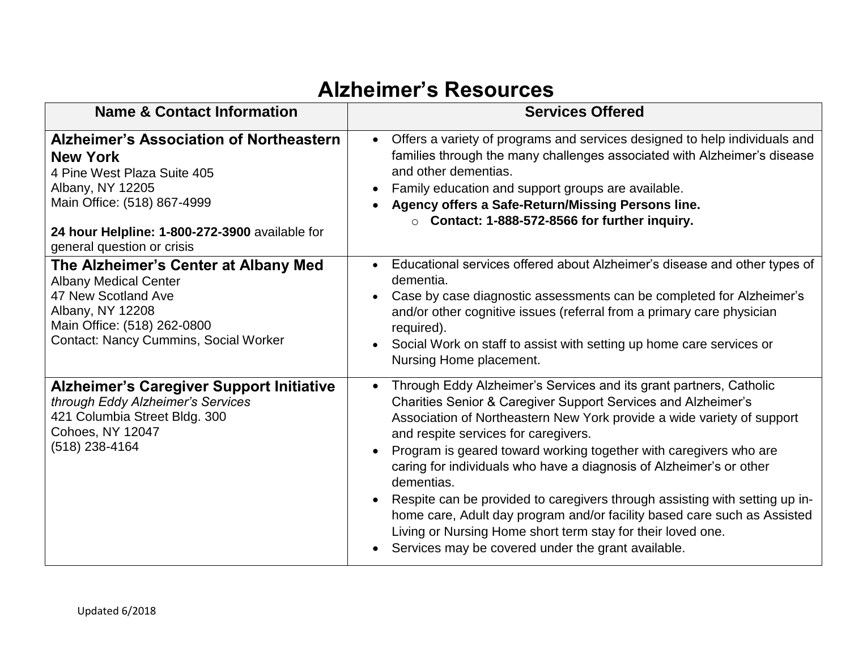## **Alzheimer's Resources**

| <b>Name &amp; Contact Information</b>                                                                                                                                                                                               | <b>Services Offered</b>                                                                                                                                                                                                                                                                                                                                                                                                                                                                                                                                                                                                                                                                                      |
|-------------------------------------------------------------------------------------------------------------------------------------------------------------------------------------------------------------------------------------|--------------------------------------------------------------------------------------------------------------------------------------------------------------------------------------------------------------------------------------------------------------------------------------------------------------------------------------------------------------------------------------------------------------------------------------------------------------------------------------------------------------------------------------------------------------------------------------------------------------------------------------------------------------------------------------------------------------|
| <b>Alzheimer's Association of Northeastern</b><br><b>New York</b><br>4 Pine West Plaza Suite 405<br>Albany, NY 12205<br>Main Office: (518) 867-4999<br>24 hour Helpline: 1-800-272-3900 available for<br>general question or crisis | Offers a variety of programs and services designed to help individuals and<br>families through the many challenges associated with Alzheimer's disease<br>and other dementias.<br>Family education and support groups are available.<br>Agency offers a Safe-Return/Missing Persons line.<br>$\circ$ Contact: 1-888-572-8566 for further inquiry.                                                                                                                                                                                                                                                                                                                                                            |
| The Alzheimer's Center at Albany Med<br><b>Albany Medical Center</b><br>47 New Scotland Ave<br>Albany, NY 12208<br>Main Office: (518) 262-0800<br><b>Contact: Nancy Cummins, Social Worker</b>                                      | Educational services offered about Alzheimer's disease and other types of<br>$\bullet$<br>dementia.<br>Case by case diagnostic assessments can be completed for Alzheimer's<br>and/or other cognitive issues (referral from a primary care physician<br>required).<br>Social Work on staff to assist with setting up home care services or<br>Nursing Home placement.                                                                                                                                                                                                                                                                                                                                        |
| <b>Alzheimer's Caregiver Support Initiative</b><br>through Eddy Alzheimer's Services<br>421 Columbia Street Bldg. 300<br>Cohoes, NY 12047<br>$(518)$ 238-4164                                                                       | Through Eddy Alzheimer's Services and its grant partners, Catholic<br>$\bullet$<br>Charities Senior & Caregiver Support Services and Alzheimer's<br>Association of Northeastern New York provide a wide variety of support<br>and respite services for caregivers.<br>Program is geared toward working together with caregivers who are<br>caring for individuals who have a diagnosis of Alzheimer's or other<br>dementias.<br>Respite can be provided to caregivers through assisting with setting up in-<br>home care, Adult day program and/or facility based care such as Assisted<br>Living or Nursing Home short term stay for their loved one.<br>Services may be covered under the grant available. |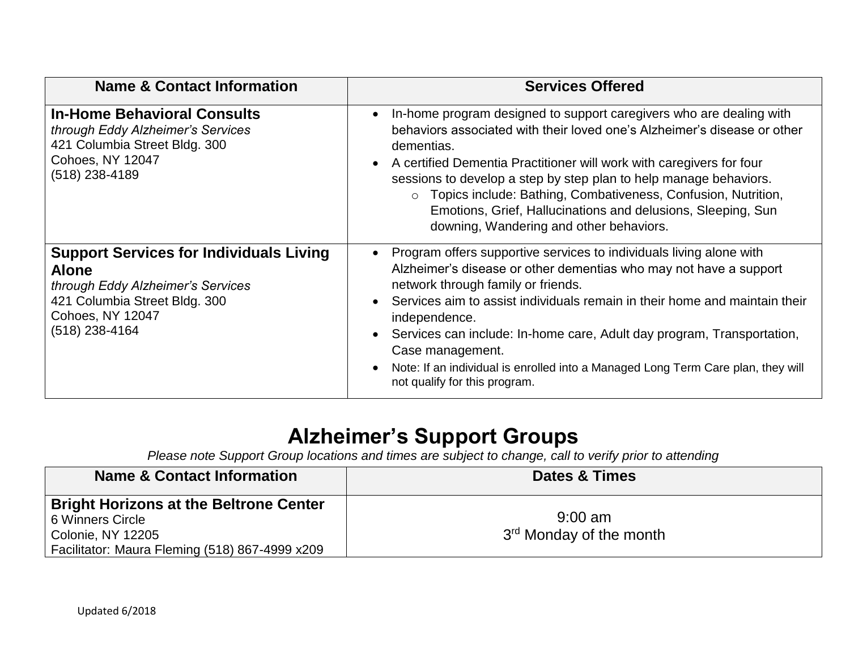| <b>Name &amp; Contact Information</b>                                                                                                                                             | <b>Services Offered</b>                                                                                                                                                                                                                                                                                                                                                                                                                                                                          |
|-----------------------------------------------------------------------------------------------------------------------------------------------------------------------------------|--------------------------------------------------------------------------------------------------------------------------------------------------------------------------------------------------------------------------------------------------------------------------------------------------------------------------------------------------------------------------------------------------------------------------------------------------------------------------------------------------|
| <b>In-Home Behavioral Consults</b><br>through Eddy Alzheimer's Services<br>421 Columbia Street Bldg. 300<br><b>Cohoes, NY 12047</b><br>(518) 238-4189                             | In-home program designed to support caregivers who are dealing with<br>behaviors associated with their loved one's Alzheimer's disease or other<br>dementias.<br>A certified Dementia Practitioner will work with caregivers for four<br>sessions to develop a step by step plan to help manage behaviors.<br>o Topics include: Bathing, Combativeness, Confusion, Nutrition,<br>Emotions, Grief, Hallucinations and delusions, Sleeping, Sun<br>downing, Wandering and other behaviors.         |
| <b>Support Services for Individuals Living</b><br><b>Alone</b><br>through Eddy Alzheimer's Services<br>421 Columbia Street Bldg. 300<br><b>Cohoes, NY 12047</b><br>(518) 238-4164 | Program offers supportive services to individuals living alone with<br>Alzheimer's disease or other dementias who may not have a support<br>network through family or friends.<br>Services aim to assist individuals remain in their home and maintain their<br>independence.<br>Services can include: In-home care, Adult day program, Transportation,<br>Case management.<br>Note: If an individual is enrolled into a Managed Long Term Care plan, they will<br>not qualify for this program. |

## **Alzheimer's Support Groups**

*Please note Support Group locations and times are subject to change, call to verify prior to attending* 

| <b>Name &amp; Contact Information</b>          | <b>Dates &amp; Times</b>            |
|------------------------------------------------|-------------------------------------|
| <b>Bright Horizons at the Beltrone Center</b>  |                                     |
| 6 Winners Circle                               | $9:00 \text{ am}$                   |
| <b>Colonie, NY 12205</b>                       | 3 <sup>rd</sup> Monday of the month |
| Facilitator: Maura Fleming (518) 867-4999 x209 |                                     |